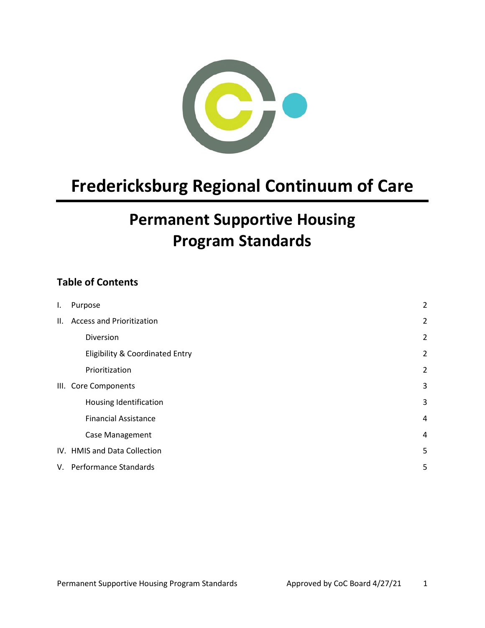

# **Fredericksburg Regional Continuum of Care**

## **Permanent Supportive Housing Program Standards**

## **Table of Contents**

| I.  | Purpose                                    | $\overline{2}$ |
|-----|--------------------------------------------|----------------|
| II. | <b>Access and Prioritization</b>           | $\overline{2}$ |
|     | Diversion                                  | $\overline{2}$ |
|     | <b>Eligibility &amp; Coordinated Entry</b> | $\overline{2}$ |
|     | Prioritization                             | $\overline{2}$ |
|     | III. Core Components                       | 3              |
|     | Housing Identification                     | 3              |
|     | <b>Financial Assistance</b>                | 4              |
|     | Case Management                            | 4              |
|     | IV. HMIS and Data Collection               | 5              |
|     | V. Performance Standards                   | 5              |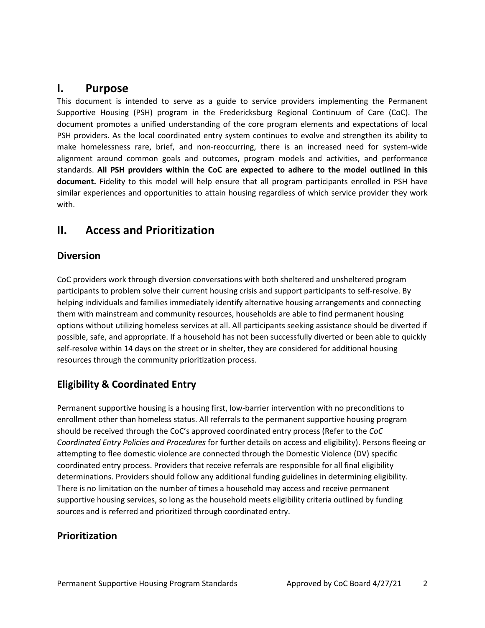### <span id="page-1-0"></span>**I. Purpose**

This document is intended to serve as a guide to service providers implementing the Permanent Supportive Housing (PSH) program in the Fredericksburg Regional Continuum of Care (CoC). The document promotes a unified understanding of the core program elements and expectations of local PSH providers. As the local coordinated entry system continues to evolve and strengthen its ability to make homelessness rare, brief, and non-reoccurring, there is an increased need for system-wide alignment around common goals and outcomes, program models and activities, and performance standards. **All PSH providers within the CoC are expected to adhere to the model outlined in this document.** Fidelity to this model will help ensure that all program participants enrolled in PSH have similar experiences and opportunities to attain housing regardless of which service provider they work with.

## <span id="page-1-1"></span>**II. Access and Prioritization**

#### <span id="page-1-2"></span>**Diversion**

CoC providers work through diversion conversations with both sheltered and unsheltered program participants to problem solve their current housing crisis and support participants to self-resolve. By helping individuals and families immediately identify alternative housing arrangements and connecting them with mainstream and community resources, households are able to find permanent housing options without utilizing homeless services at all. All participants seeking assistance should be diverted if possible, safe, and appropriate. If a household has not been successfully diverted or been able to quickly self-resolve within 14 days on the street or in shelter, they are considered for additional housing resources through the community prioritization process.

#### <span id="page-1-3"></span>**Eligibility & Coordinated Entry**

Permanent supportive housing is a housing first, low-barrier intervention with no preconditions to enrollment other than homeless status. All referrals to the permanent supportive housing program should be received through the CoC's approved coordinated entry process (Refer to the *CoC Coordinated Entry Policies and Procedures* for further details on access and eligibility). Persons fleeing or attempting to flee domestic violence are connected through the Domestic Violence (DV) specific coordinated entry process. Providers that receive referrals are responsible for all final eligibility determinations. Providers should follow any additional funding guidelines in determining eligibility. There is no limitation on the number of times a household may access and receive permanent supportive housing services, so long as the household meets eligibility criteria outlined by funding sources and is referred and prioritized through coordinated entry.

#### <span id="page-1-4"></span>**Prioritization**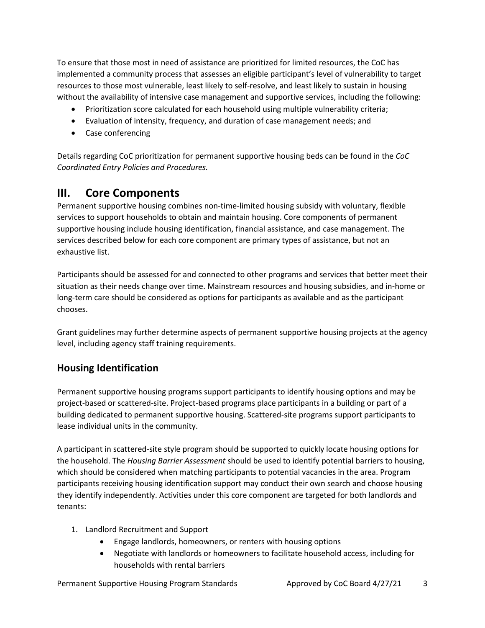To ensure that those most in need of assistance are prioritized for limited resources, the CoC has implemented a community process that assesses an eligible participant's level of vulnerability to target resources to those most vulnerable, least likely to self-resolve, and least likely to sustain in housing without the availability of intensive case management and supportive services, including the following:

- Prioritization score calculated for each household using multiple vulnerability criteria;
- Evaluation of intensity, frequency, and duration of case management needs; and
- Case conferencing

Details regarding CoC prioritization for permanent supportive housing beds can be found in the *CoC Coordinated Entry Policies and Procedures.*

## <span id="page-2-0"></span>**III. Core Components**

Permanent supportive housing combines non-time-limited housing subsidy with voluntary, flexible services to support households to obtain and maintain housing. Core components of permanent supportive housing include housing identification, financial assistance, and case management. The services described below for each core component are primary types of assistance, but not an exhaustive list.

Participants should be assessed for and connected to other programs and services that better meet their situation as their needs change over time. Mainstream resources and housing subsidies, and in-home or long-term care should be considered as options for participants as available and as the participant chooses.

Grant guidelines may further determine aspects of permanent supportive housing projects at the agency level, including agency staff training requirements.

#### <span id="page-2-1"></span>**Housing Identification**

Permanent supportive housing programs support participants to identify housing options and may be project-based or scattered-site. Project-based programs place participants in a building or part of a building dedicated to permanent supportive housing. Scattered-site programs support participants to lease individual units in the community.

A participant in scattered-site style program should be supported to quickly locate housing options for the household. The *Housing Barrier Assessment* should be used to identify potential barriers to housing, which should be considered when matching participants to potential vacancies in the area. Program participants receiving housing identification support may conduct their own search and choose housing they identify independently. Activities under this core component are targeted for both landlords and tenants:

- 1. Landlord Recruitment and Support
	- Engage landlords, homeowners, or renters with housing options
	- Negotiate with landlords or homeowners to facilitate household access, including for households with rental barriers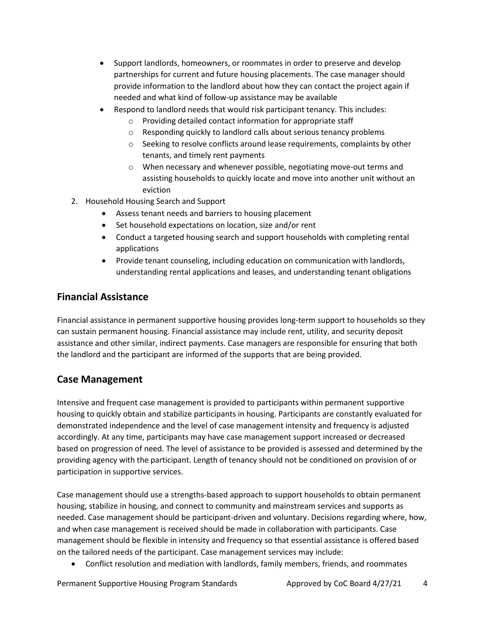- Support landlords, homeowners, or roommates in order to preserve and develop partnerships for current and future housing placements. The case manager should provide information to the landlord about how they can contact the project again if needed and what kind of follow-up assistance may be available
- Respond to landlord needs that would risk participant tenancy. This includes:
	- o Providing detailed contact information for appropriate staff
	- o Responding quickly to landlord calls about serious tenancy problems
	- o Seeking to resolve conflicts around lease requirements, complaints by other tenants, and timely rent payments
	- $\circ$  When necessary and whenever possible, negotiating move-out terms and assisting households to quickly locate and move into another unit without an eviction
- 2. Household Housing Search and Support
	- Assess tenant needs and barriers to housing placement
	- Set household expectations on location, size and/or rent
	- Conduct a targeted housing search and support households with completing rental applications
	- Provide tenant counseling, including education on communication with landlords, understanding rental applications and leases, and understanding tenant obligations

#### <span id="page-3-0"></span>**Financial Assistance**

Financial assistance in permanent supportive housing provides long-term support to households so they can sustain permanent housing. Financial assistance may include rent, utility, and security deposit assistance and other similar, indirect payments. Case managers are responsible for ensuring that both the landlord and the participant are informed of the supports that are being provided.

#### <span id="page-3-1"></span>**Case Management**

Intensive and frequent case management is provided to participants within permanent supportive housing to quickly obtain and stabilize participants in housing. Participants are constantly evaluated for demonstrated independence and the level of case management intensity and frequency is adjusted accordingly. At any time, participants may have case management support increased or decreased based on progression of need. The level of assistance to be provided is assessed and determined by the providing agency with the participant. Length of tenancy should not be conditioned on provision of or participation in supportive services.

Case management should use a strengths-based approach to support households to obtain permanent housing, stabilize in housing, and connect to community and mainstream services and supports as needed. Case management should be participant-driven and voluntary. Decisions regarding where, how, and when case management is received should be made in collaboration with participants. Case management should be flexible in intensity and frequency so that essential assistance is offered based on the tailored needs of the participant. Case management services may include:

• Conflict resolution and mediation with landlords, family members, friends, and roommates